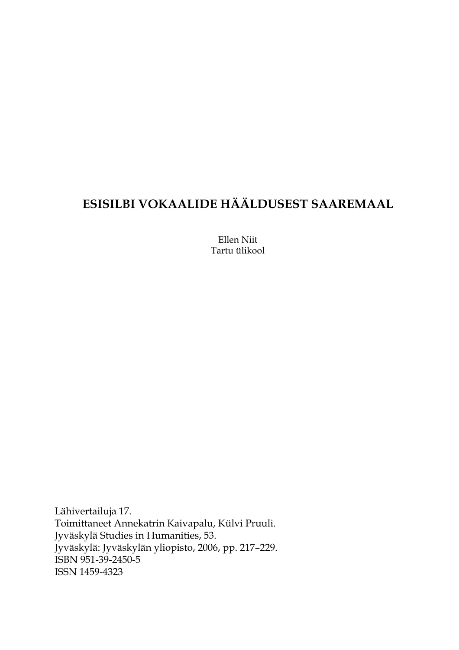# **ESISILBI VOKAALIDE HÄÄLDUSEST SAAREMAAL**

Ellen Niit Tartu ülikool

Lähivertailuja 17. Toimittaneet Annekatrin Kaivapalu, Külvi Pruuli. Jyväskylä Studies in Humanities, 53. Jyväskylä: Jyväskylän yliopisto, 2006, pp. 217–229. ISBN 951-39-2450-5 ISSN 1459-4323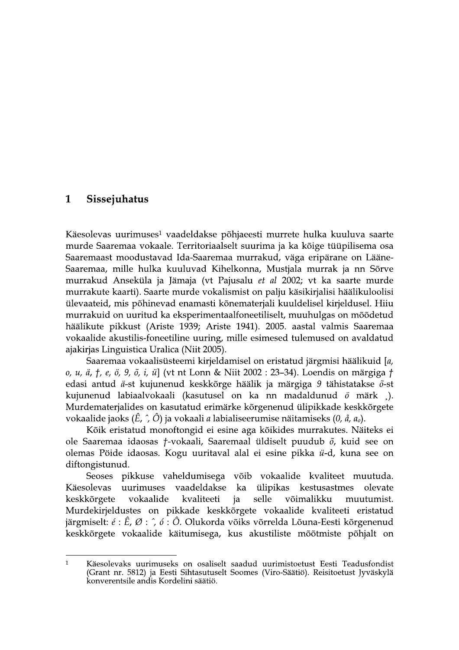#### $\mathbf{1}$ Sissejuhatus

Käesolevas uurimuses<sup>1</sup> vaadeldakse põhjaeesti murrete hulka kuuluva saarte murde Saaremaa vokaale. Territoriaalselt suurima ja ka kõige tüüpilisema osa Saaremaast moodustavad Ida-Saaremaa murrakud, väga eripärane on Lääne-Saaremaa, mille hulka kuuluvad Kihelkonna, Mustjala murrak ja nn Sõrve murrakud Anseküla ja Jämaja (vt Pajusalu et al 2002; vt ka saarte murde murrakute kaarti). Saarte murde vokalismist on palju käsikirjalisi häälikuloolisi ülevaateid, mis põhinevad enamasti kõnematerjali kuuldelisel kirjeldusel. Hiiu murrakuid on uuritud ka eksperimentaalfoneetiliselt, muuhulgas on mõõdetud häälikute pikkust (Ariste 1939; Ariste 1941). 2005. aastal valmis Saaremaa vokaalide akustilis-foneetiline uuring, mille esimesed tulemused on avaldatud ajakirjas Linguistica Uralica (Niit 2005).

Saaremaa vokaalisüsteemi kirjeldamisel on eristatud järgmisi häälikuid [a, o, u, ä, †, e, ö, 9, õ, i, ü] (vt nt Lonn & Niit 2002 : 23-34). Loendis on märgiga † edasi antud ä-st kujunenud keskkõrge häälik ja märgiga 9 tähistatakse õ-st kujunenud labiaalvokaali (kasutusel on ka nn madaldunud ö märk ). Murdematerjalides on kasutatud erimärke kõrgenenud ülipikkade keskkõrgete vokaalide jaoks (Ê, ^, Ô) ja vokaali a labialiseerumise näitamiseks (0, å, a<sub>0</sub>).

Kõik eristatud monoftongid ei esine aga kõikides murrakutes. Näiteks ei ole Saaremaa idaosas *†*-vokaali, Saaremaal üldiselt puudub  $\tilde{o}$ , kuid see on olemas Pöide idaosas. Kogu uuritaval alal ei esine pikka ü-d, kuna see on diftongistunud.

pikkuse vaheldumisega võib vokaalide kvaliteet muutuda. **Seoses** ülipikas Käesolevas uurimuses vaadeldakse ka kestusastmes olevate kvaliteeti selle keskkõrgete vokaalide ja võimalikku muutumist. Murdekirjeldustes on pikkade keskkõrgete vokaalide kvaliteeti eristatud järgmiselt: é : Ê, Ø :  $\hat{O}$ . Ó. Olukorda võiks võrrelda Lõuna-Eesti kõrgenenud keskkõrgete vokaalide käitumisega, kus akustiliste mõõtmiste põhjalt on

Käesolevaks uurimuseks on osaliselt saadud uurimistoetust Eesti Teadusfondist (Grant nr. 5812) ja Eesti Sihtasutuselt Soomes (Viro-Säätiö). Reisitoetust Jyväskylä  $\overline{1}$ konverentsile andis Kordelini säätiö.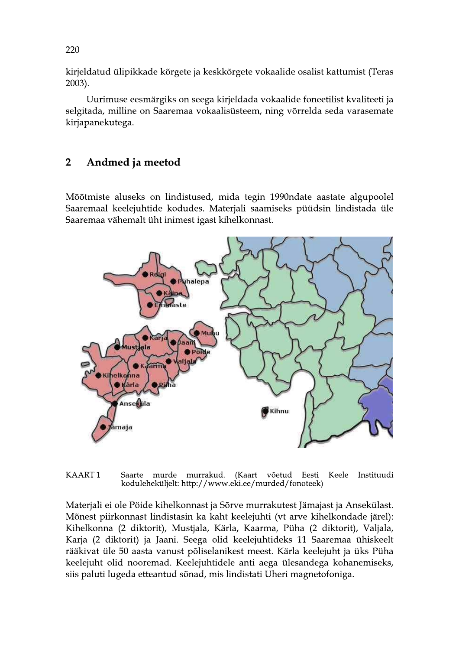kirjeldatud ülipikkade kõrgete ja keskkõrgete vokaalide osalist kattumist (Teras 2003).

Uurimuse eesmärgiks on seega kirjeldada vokaalide foneetilist kvaliteeti ja selgitada, milline on Saaremaa vokaalisüsteem, ning võrrelda seda varasemate kirjapanekutega.

### $\overline{2}$ Andmed ja meetod

Mõõtmiste aluseks on lindistused, mida tegin 1990ndate aastate algupoolel Saaremaal keelejuhtide kodudes. Materjali saamiseks püüdsin lindistada üle Saaremaa vähemalt üht inimest igast kihelkonnast.



KAART1 Saarte murde murrakud. (Kaart võetud Eesti Keele Instituudi koduleheküljelt: http://www.eki.ee/murded/fonoteek)

Materjali ei ole Pöide kihelkonnast ja Sõrve murrakutest Jämajast ja Ansekülast. Mõnest piirkonnast lindistasin ka kaht keelejuhti (vt arve kihelkondade järel): Kihelkonna (2 diktorit), Mustjala, Kärla, Kaarma, Püha (2 diktorit), Valjala, Karja (2 diktorit) ja Jaani. Seega olid keelejuhtideks 11 Saaremaa ühiskeelt rääkivat üle 50 aasta vanust põliselanikest meest. Kärla keelejuht ja üks Püha keelejuht olid nooremad. Keelejuhtidele anti aega ülesandega kohanemiseks, siis paluti lugeda etteantud sõnad, mis lindistati Uheri magnetofoniga.

220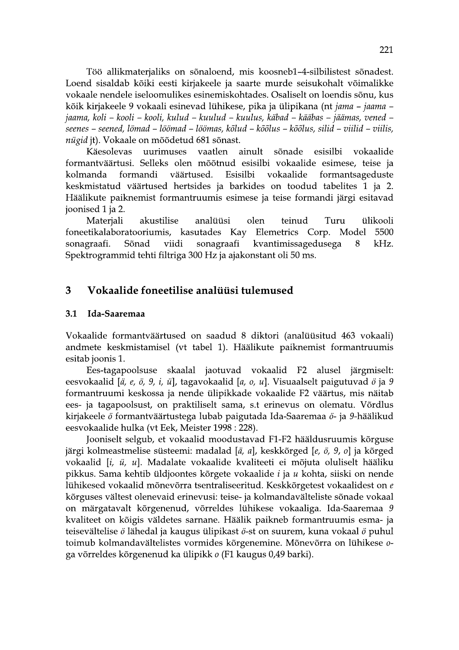Töö allikmaterjaliks on sõnaloend, mis koosneb1-4-silbilistest sõnadest. Loend sisaldab kõiki eesti kirjakeele ja saarte murde seisukohalt võimalikke vokaale nendele iseloomulikes esinemiskohtades. Osaliselt on loendis sõnu, kus kõik kirjakeele 9 vokaali esinevad lühikese, pika ja ülipikana (nt jama - jaama jaama, koli – kooli – kooli, kulud – kuulud – kuulus, käbad – kääbas – jäämas, vened – seenes – seened, lömad – löömad – löömas, kõlud – kõõlus – kõõlus, silid – viilid – viilis, nügid jt). Vokaale on mõõdetud 681 sõnast.

Käesolevas uurimuses vaatlen ainult sõnade esisilbi vokaalide formantväärtusi. Selleks olen mõõtnud esisilbi vokaalide esimese, teise ja Esisilbi kolmanda formandi väärtused. vokaalide formantsageduste keskmistatud väärtused hertsides ja barkides on toodud tabelites 1 ja 2. Häälikute paiknemist formantruumis esimese ja teise formandi järgi esitavad joonised 1 ja 2.

Materiali akustilise analüüsi olen teinud Turu ülikooli foneetikalaboratooriumis, kasutades Kay Elemetrics Corp. Model 5500 viidi sonagraafi kvantimissagedusega kHz. sonagraafi. Sõnad 8 Spektrogrammid tehti filtriga 300 Hz ja ajakonstant oli 50 ms.

#### 3 Vokaalide foneetilise analüüsi tulemused

#### $3.1$ Ida-Saaremaa

Vokaalide formantväärtused on saadud 8 diktori (analüüsitud 463 vokaali) andmete keskmistamisel (vt tabel 1). Häälikute paiknemist formantruumis esitab joonis 1.

Ees-tagapoolsuse skaalal jaotuvad vokaalid F2 alusel järgmiselt: eesvokaalid [ä, e, ö, 9, i, ü], tagavokaalid [a, o, u]. Visuaalselt paigutuvad ö ja 9 formantruumi keskossa ja nende ülipikkade vokaalide F2 väärtus, mis näitab ees- ja tagapoolsust, on praktiliselt sama, s.t erinevus on olematu. Võrdlus kirjakeele ö formantväärtustega lubab paigutada Ida-Saaremaa ö- ja 9-häälikud eesvokaalide hulka (vt Eek, Meister 1998 : 228).

Jooniselt selgub, et vokaalid moodustavad F1-F2 hääldusruumis kõrguse järgi kolmeastmelise süsteemi: madalad [ä, a], keskkõrged [e, ö, 9, o] ja kõrged vokaalid [i, ü, u]. Madalate vokaalide kvaliteeti ei mõjuta oluliselt hääliku pikkus. Sama kehtib üldjoontes kõrgete vokaalide *i* ja *u* kohta, siiski on nende lühikesed vokaalid mõnevõrra tsentraliseeritud. Keskkõrgetest vokaalidest on e kõrguses vältest olenevaid erinevusi: teise- ja kolmandavälteliste sõnade vokaal on märgatavalt kõrgenenud, võrreldes lühikese vokaaliga. Ida-Saaremaa 9 kvaliteet on kõigis väldetes sarnane. Häälik paikneb formantruumis esma- ja teisevältelise ö lähedal ja kaugus ülipikast ö-st on suurem, kuna vokaal ö puhul toimub kolmandavältelistes vormides kõrgenemine. Mõnevõrra on lühikese oga võrreldes kõrgenenud ka ülipikk o (F1 kaugus 0,49 barki).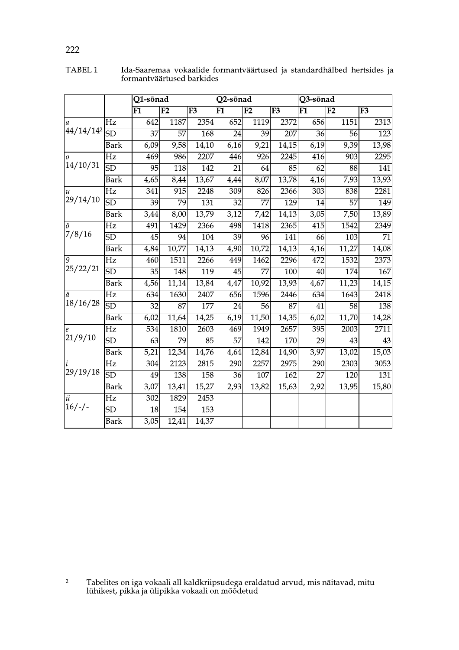|                                  |                        | Q1-sõnad          |                 |       | Q2-sõnad          |                  |                 | Q3-sõnad         |                  |                  |
|----------------------------------|------------------------|-------------------|-----------------|-------|-------------------|------------------|-----------------|------------------|------------------|------------------|
|                                  |                        | $\overline{F1}$   | F2              | F3    | F1                | F2               | F3              | $\overline{F1}$  | F2               | F <sub>3</sub>   |
| a<br>44/14/142                   | Hz                     | $\overline{642}$  | 1187            | 2354  | 652               | 1119             | 2372            | 656              | 1151             | 2313             |
|                                  | SD                     | $\overline{37}$   | $\overline{57}$ | 168   | $\overline{24}$   | $\overline{39}$  | 207             | $\overline{36}$  | $\overline{56}$  | $\overline{123}$ |
|                                  | <b>Bark</b>            | 6,09              | 9,58            | 14,10 | 6,16              | 9,21             | 14,15           | 6,19             | 9,39             | 13,98            |
| $\overline{O}$<br>14/10/31       | $\overline{Hz}$        | 469               | 986             | 2207  | 446               | $\overline{926}$ | 2245            | 416              | 903              | 2295             |
|                                  | $\overline{\text{SD}}$ | 95                | 118             | 142   | $\overline{21}$   | $\overline{64}$  | $\overline{85}$ | 62               | 88               | 141              |
|                                  | <b>Bark</b>            | 4,65              | 8,44            | 13,67 | 4,44              | 8,07             | 13,78           | 4,16             | 7,93             | 13,93            |
| $\boldsymbol{u}$<br>29/14/10     | $\overline{Hz}$        | 341               | 915             | 2248  | 309               | 826              | 2366            | 303              | 838              | 2281             |
|                                  | $\overline{\text{SD}}$ | 39                | 79              | 131   | $\overline{32}$   | 77               | 129             | $\overline{14}$  | $\overline{57}$  | 149              |
|                                  | <b>Bark</b>            | 3,44              | 8,00            | 13,79 | 3,12              | 7,42             | 14,13           | 3,05             | 7,50             | 13,89            |
| $\ddot{o}$<br>7/8/16             | Hz                     | 491               | 1429            | 2366  | 498               | 1418             | 2365            | $\overline{415}$ | 1542             | 2349             |
|                                  | $\overline{\text{SD}}$ | $\overline{45}$   | 94              | 104   | 39                | $\overline{96}$  | 141             | 66               | $\overline{103}$ | $\overline{71}$  |
|                                  | <b>Bark</b>            | 4,84              | 10,77           | 14,13 | $\overline{4,90}$ | 10,72            | 14,13           | 4,16             | 11,27            | 14,08            |
| $\overline{g}$<br>25/22/21       | Hz                     | 460               | 1511            | 2266  | 449               | 1462             | 2296            | 472              | 1532             | 2373             |
|                                  | SD                     | 35                | 148             | 119   | $\overline{45}$   | $\overline{77}$  | 100             | $\overline{40}$  | 174              | 167              |
|                                  | <b>Bark</b>            | 4,56              | 11,14           | 13,84 | 4,47              | 10,92            | 13,93           | 4,67             | 11,23            | 14,15            |
| ä<br>18/16/28                    | $\overline{Hz}$        | 634               | 1630            | 2407  | 656               | 1596             | 2446            | $\overline{634}$ | 1643             | 2418             |
|                                  | $\overline{\text{SD}}$ | $\overline{32}$   | 87              | 177   | $\overline{24}$   | $\overline{56}$  | $\overline{87}$ | 41               | $\overline{58}$  | 138              |
|                                  | <b>Bark</b>            | 6,02              | 11,64           | 14,25 | 6,19              | 11,50            | 14,35           | 6,02             | 11,70            | 14,28            |
| e<br>21/9/10                     | Hz                     | 534               | 1810            | 2603  | 469               | 1949             | 2657            | 395              | 2003             | 2711             |
|                                  | $\overline{\text{SD}}$ | 63                | $\overline{79}$ | 85    | $\overline{57}$   | 142              | 170             | $\overline{29}$  | 43               | 43               |
|                                  | <b>Bark</b>            | 5,21              | 12,34           | 14,76 | 4,64              | 12,84            | 14,90           | 3,97             | 13,02            | 15,03            |
| 29/19/18                         | $\overline{Hz}$        | 304               | 2123            | 2815  | 290               | 2257             | 2975            | 290              | 2303             | 3053             |
|                                  | $\overline{\text{SD}}$ | 49                | 138             | 158   | $\overline{36}$   | 107              | 162             | $\overline{27}$  | $\overline{120}$ | 131              |
|                                  | <b>Bark</b>            | 3,07              | 13,41           | 15,27 | 2,93              | 13,82            | 15,63           | 2,92             | 13,95            | 15,80            |
| $\overline{\ddot{u}}$<br>$16/-/$ | $\overline{Hz}$        | $\overline{302}$  | 1829            | 2453  |                   |                  |                 |                  |                  |                  |
|                                  | <b>SD</b>              | 18                | 154             | 153   |                   |                  |                 |                  |                  |                  |
|                                  | <b>Bark</b>            | $\overline{3,05}$ | 12,41           | 14,37 |                   |                  |                 |                  |                  |                  |

Ida-Saaremaa vokaalide formantväärtused ja standardhälbed hertsides ja formantväärtused barkides TABEL 1

# 222

Tabelites on iga vokaali all kaldkriipsudega eraldatud arvud, mis näitavad, mitu<br>lühikest, pikka ja ülipikka vokaali on mõõdetud  $\overline{2}$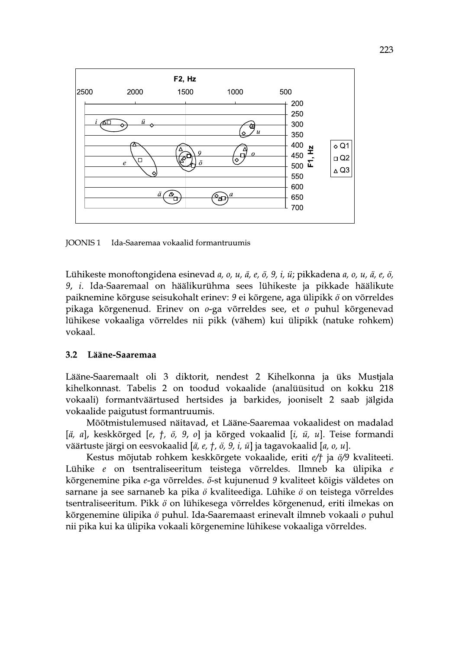

**JOONIS1** Ida-Saaremaa vokaalid formantruumis

Lühikeste monoftongidena esinevad a, o, u, ä, e, ö, 9, i, ü; pikkadena a, o, u, ä, e, ö, 9, i. Ida-Saaremaal on häälikurühma sees lühikeste ja pikkade häälikute paiknemine kõrguse seisukohalt erinev: 9 ei kõrgene, aga ülipikk ö on võrreldes pikaga kõrgenenud. Erinev on 0-ga võrreldes see, et 0 puhul kõrgenevad lühikese vokaaliga võrreldes nii pikk (vähem) kui ülipikk (natuke rohkem) vokaal.

#### $3.2$ Lääne-Saaremaa

Lääne-Saaremaalt oli 3 diktorit, nendest 2 Kihelkonna ja üks Mustjala kihelkonnast. Tabelis 2 on toodud vokaalide (analüüsitud on kokku 218 vokaali) formantväärtused hertsides ja barkides, jooniselt 2 saab jälgida vokaalide paigutust formantruumis.

Mõõtmistulemused näitavad, et Lääne-Saaremaa vokaalidest on madalad  $[\ddot{a}, a]$ , keskkõrged [e, t, ö, 9, o] ja kõrged vokaalid [i, ü, u]. Teise formandi väärtuste järgi on eesvokaalid [ $\ddot{a}$ ,  $e$ ,  $\ddot{\tau}$ ,  $\ddot{o}$ ,  $9$ ,  $\ddot{\iota}$ ,  $\ddot{u}$ ] ja tagavokaalid [ $a$ ,  $o$ ,  $u$ ].

Kestus mõjutab rohkem keskkõrgete vokaalide, eriti e/† ja ö/9 kvaliteeti. Lühike e on tsentraliseeritum teistega võrreldes. Ilmneb ka ülipika e kõrgenemine pika e-ga võrreldes. õ-st kujunenud 9 kvaliteet kõigis väldetes on sarnane ja see sarnaneb ka pika ö kvaliteediga. Lühike ö on teistega võrreldes tsentraliseeritum. Pikk ö on lühikesega võrreldes kõrgenenud, eriti ilmekas on kõrgenemine ülipika ö puhul. Ida-Saaremaast erinevalt ilmneb vokaali o puhul nii pika kui ka ülipika vokaali kõrgenemine lühikese vokaaliga võrreldes.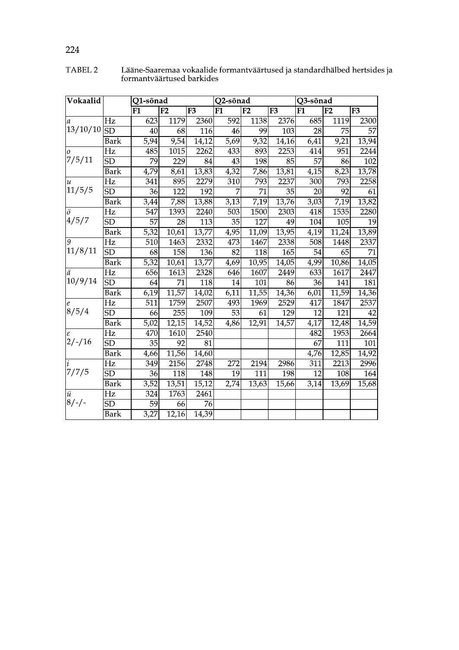| Vokaalid                  |                          | Q1-sõnad          |                    |                    | Q2-sõnad                 |                    |                        | Q3-sõnad          |                  |                 |
|---------------------------|--------------------------|-------------------|--------------------|--------------------|--------------------------|--------------------|------------------------|-------------------|------------------|-----------------|
|                           |                          | $\overline{F1}$   | $\overline{F2}$    | $\overline{F3}$    | $\overline{\mathrm{F1}}$ | $\overline{F2}$    | $\overline{\text{F3}}$ | $\overline{F1}$   | $\overline{F2}$  | F <sub>3</sub>  |
| $\mathfrak a$<br>13/10/10 | $\overline{\text{Hz}}$   | 623               | 1179               | 2360               | 592                      | 1138               | 2376                   | 685               | 1119             | 2300            |
|                           | SD                       | $\overline{40}$   | $\overline{68}$    | 116                | 46                       | 99                 | $\overline{103}$       | $\overline{28}$   | $\overline{75}$  | 57              |
|                           | <b>Bark</b>              | 5,94              | 9,54               | 14,12              | 5,69                     | 9,32               | 14,16                  | 6,41              | 9,21             | 13,94           |
| $\overline{O}$            | $\overline{\mathrm{Hz}}$ | 485               | 1015               | $\overline{2262}$  | 433                      | 893                | 2253                   | 414               | 951              | 2244            |
| 7/5/11                    | SD                       | 79                | 229                | $\overline{84}$    | 43                       | 198                | $\overline{85}$        | $\overline{57}$   | 86               | 102             |
|                           | <b>Bark</b>              | 4,79              | 8,61               | 13,83              | 4,32                     | 7,86               | 13,81                  | 4,15              | 8,23             | 13,78           |
| $\boldsymbol{u}$          | Hz                       | 341               | 895                | 2279               | $\overline{310}$         | 793                | 2237                   | 300               | 793              | 2258            |
| 11/5/5                    | $\overline{\text{SD}}$   | $\overline{36}$   | 122                | 192                | 7                        | $\overline{71}$    | $\overline{35}$        | $\overline{20}$   | 92               | $\overline{61}$ |
|                           | <b>Bark</b>              | 3,44              | 7,88               | 13,88              | $3,\overline{13}$        | 7,19               | 13,76                  | 3,03              | 7,19             | 13,82           |
| $\ddot{o}$                | $\overline{\text{Hz}}$   | $\overline{547}$  | 1393               | 2240               | $\overline{503}$         | 1500               | 2303                   | 418               | 1535             | 2280            |
| 4/5/7                     | SD                       | $\overline{57}$   | $\overline{28}$    | 113                | $\overline{35}$          | 127                | 49                     | 104               | 105              | 19              |
|                           | Bark                     | $\overline{5,32}$ | 10,61              | $\overline{13,77}$ | 4,95                     | 11,09              | 13,95                  | $\overline{4,19}$ | 11,24            | 13,89           |
| $\overline{g}$            | $\overline{\mathrm{Hz}}$ | $\overline{510}$  | 1463               | 2332               | 473                      | 1467               | 2338                   | 508               | 1448             | 2337            |
| 11/8/11                   | $\overline{\text{SD}}$   | 68                | 158                | 136                | $\overline{82}$          | 118                | $\overline{165}$       | $\overline{54}$   | 65               | $\overline{71}$ |
|                           | Bark                     | 5,32              | 10,61              | 13,77              | $\overline{4,69}$        | 10,95              | 14,05                  | 4,99              | 10,86            | 14,05           |
| ä                         | $\overline{\mathrm{Hz}}$ | 656               | 1613               | 2328               | 646                      | 1607               | 2449                   | 633               | 1617             | 2447            |
| 10/9/14                   | $\overline{\text{SD}}$   | $\overline{64}$   | 71                 | $\overline{118}$   | $\overline{14}$          | 101                | 86                     | $\overline{36}$   | $\overline{141}$ | 181             |
|                           | Bark                     | 6,19              | 11,57              | 14,02              | 6,11                     | 11,55              | 14,36                  | 6,01              | 11,59            | 14,36           |
| $\mathcal{C}_{0}$         | Hz                       | $\overline{511}$  | 1759               | 2507               | 493                      | 1969               | 2529                   | 417               | 1847             | 2537            |
| 8/5/4                     | $\overline{\text{SD}}$   | 66                | 255                | 109                | $\overline{53}$          | $\overline{61}$    | 129                    | $\overline{12}$   | 121              | 42              |
|                           | Bark                     | 5,02              | $\overline{12,15}$ | 14,52              | 4,86                     | 12,91              | 14,57                  | 4,17              | 12,48            | 14,59           |
| ε                         | Hz                       | 470               | 1610               | 2540               |                          |                    |                        | 482               | 1953             | 2664            |
| $2/-/16$                  | $\overline{\text{SD}}$   | $\overline{35}$   | $\overline{92}$    | $\overline{81}$    |                          |                    |                        | $\overline{67}$   | 111              | 101             |
|                           | Bark                     | 4,66              | 11,56              | 14,60              |                          |                    |                        | 4,76              | 12,85            | 14,92           |
| i<br>7/7/5                | Hz                       | 349               | 2156               | 2748               | 272                      | 2194               | 2986                   | 311               | 2213             | 2996            |
|                           | $\overline{\text{SD}}$   | $\overline{36}$   | 118                | 148                | $\overline{19}$          | $\overline{111}$   | 198                    | $\overline{12}$   | 108              | 164             |
|                           | <b>Bark</b>              | 3,52              | 13,51              | 15,12              | 2,74                     | $\overline{13,63}$ | 15,66                  | 3,14              | 13,69            | 15,68           |
| $\ddot{u}$<br>$8/-/-$     | $\overline{\text{Hz}}$   | $\overline{324}$  | 1763               | 2461               |                          |                    |                        |                   |                  |                 |
|                           | $\overline{\text{SD}}$   | 59                | 66                 | 76                 |                          |                    |                        |                   |                  |                 |
|                           | Bark                     | 3,27              | 12,16              | 14,39              |                          |                    |                        |                   |                  |                 |

Lääne-Saaremaa vokaalide formantväärtused ja standardhälbed hertsides ja<br>formantväärtused barkides TABEL 2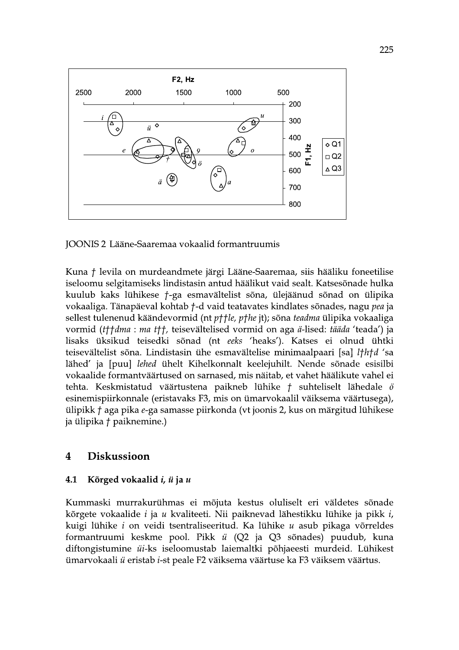

JOONIS 2 Lääne-Saaremaa vokaalid formantruumis

Kuna † levila on murdeandmete järgi Lääne-Saaremaa, siis hääliku foneetilise iseloomu selgitamiseks lindistasin antud häälikut vaid sealt. Katsesõnade hulka kuulub kaks lühikese *†*-ga esmavältelist sõna, ülejäänud sõnad on ülipika vokaaliga. Tänapäeval kohtab *†*-d vaid teatavates kindlates sõnades, nagu pea ja sellest tulenenud käändevormid (nt p††le, p†he jt); sõna teadma ülipika vokaaliga vormid (tttdma : ma ttt, teisevältelised vormid on aga ä-lised: tääda 'teada') ja lisaks üksikud teisedki sõnad (nt eeks 'heaks'). Katses ei olnud ühtki teisevältelist sõna. Lindistasin ühe esmavältelise minimaalpaari [sa] lthtd 'sa lähed' ja [puu] lehed ühelt Kihelkonnalt keelejuhilt. Nende sõnade esisilbi vokaalide formantväärtused on sarnased, mis näitab, et vahet häälikute vahel ei tehta. Keskmistatud väärtustena paikneb lühike  *suhteliselt lähedale*  $\ddot{o}$ esinemispiirkonnale (eristavaks F3, mis on ümarvokaalil väiksema väärtusega), ülipikk † aga pika e-ga samasse piirkonda (vt joonis 2, kus on märgitud lühikese ja ülipika † paiknemine.)

#### $\overline{4}$ **Diskussioon**

#### Kõrged vokaalid i, ü ja u 4.1

Kummaski murrakurühmas ei mõjuta kestus oluliselt eri väldetes sõnade kõrgete vokaalide *i* ja *u* kvaliteeti. Nii paiknevad lähestikku lühike ja pikk *i*, kuigi lühike *i* on veidi tsentraliseeritud. Ka lühike *u* asub pikaga võrreldes formantruumi keskme pool. Pikk *ü* (Q2 ja Q3 sõnades) puudub, kuna diftongistumine üi-ks iseloomustab laiemaltki põhjaeesti murdeid. Lühikest ümarvokaali ü eristab i-st peale F2 väiksema väärtuse ka F3 väiksem väärtus.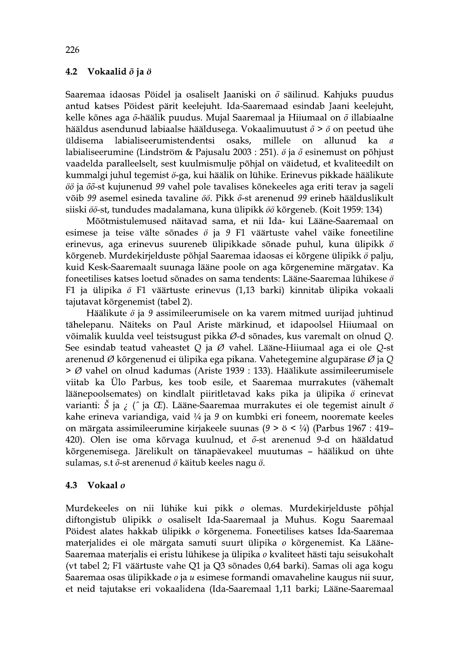#### $4.2$ Vokaalid õ ja ö

Saaremaa idaosas Pöidel ja osaliselt Jaaniski on  $\tilde{o}$  säilinud. Kahjuks puudus antud katses Pöidest pärit keelejuht. Ida-Saaremaad esindab Jaani keelejuht, kelle kõnes aga  $\tilde{o}$ -häälik puudus. Mujal Saaremaal ja Hiiumaal on  $\tilde{o}$  illabiaalne hääldus asendunud labiaalse hääldusega. Vokaalimuutust  $\delta$  >  $\delta$  on peetud ühe labialiseerumistendentsi osaks. millele  $\alpha$ allunud üldisema  $ka$ labialiseerumine (Lindström & Pajusalu 2003 : 251).  $\ddot{o}$  ja  $\ddot{o}$  esinemust on põhjust vaadelda paralleelselt, sest kuulmismulje põhjal on väidetud, et kvaliteedilt on kummalgi juhul tegemist ö-ga, kui häälik on lühike. Erinevus pikkade häälikute öö ja õõ-st kujunenud 99 vahel pole tavalises kõnekeeles aga eriti terav ja sageli võib 99 asemel esineda tavaline öö. Pikk õ-st arenenud 99 erineb häälduslikult siiski öö-st, tundudes madalamana, kuna ülipikk öö kõrgeneb. (Koit 1959: 134)

Mõõtmistulemused näitavad sama, et nii Ida- kui Lääne-Saaremaal on esimese ja teise välte sõnades  $\ddot{o}$  ja 9 F1 väärtuste vahel väike foneetiline erinevus, aga erinevus suureneb ülipikkade sõnade puhul, kuna ülipikk ö kõrgeneb. Murdekirjelduste põhjal Saaremaa idaosas ei kõrgene ülipikk ö palju, kuid Kesk-Saaremaalt suunaga lääne poole on aga kõrgenemine märgatav. Ka foneetilises katses loetud sõnades on sama tendents: Lääne-Saaremaa lühikese  $\ddot{o}$ F1 ja ülipika ö F1 väärtuste erinevus (1,13 barki) kinnitab ülipika vokaali tajutavat kõrgenemist (tabel 2).

Häälikute  $\ddot{o}$  ja 9 assimileerumisele on ka varem mitmed uurijad juhtinud tähelepanu. Näiteks on Paul Ariste märkinud, et idapoolsel Hiiumaal on võimalik kuulda veel teistsugust pikka Ø-d sõnades, kus varemalt on olnud Q. See esindab teatud vaheastet Q ja Ø vahel. Lääne-Hiiumaal aga ei ole Q-st arenenud Ø kõrgenenud ei ülipika ega pikana. Vahetegemine algupärase Ø ja Q  $>$  Ø vahel on olnud kadumas (Ariste 1939 : 133). Häälikute assimileerumisele viitab ka Ülo Parbus, kes toob esile, et Saaremaa murrakutes (vähemalt läänepoolsemates) on kindlalt piiritletavad kaks pika ja ülipika ö erinevat varianti: Š ja ; (^ ja Œ). Lääne-Saaremaa murrakutes ei ole tegemist ainult  $\ddot{o}$ kahe erineva variandiga, vaid  $\frac{1}{4}$  ja 9 on kumbki eri foneem, nooremate keeles on märgata assimileerumine kirjakeele suunas  $(9 \ge \ddot{o} \le \frac{1}{4})$  (Parbus 1967 : 419– 420). Olen ise oma kõrvaga kuulnud, et õ-st arenenud 9-d on hääldatud kõrgenemisega. Järelikult on tänapäevakeel muutumas - häälikud on ühte sulamas, s.t õ-st arenenud ö käitub keeles nagu ö.

#### 4.3 Vokaal o

Murdekeeles on nii lühike kui pikk o olemas. Murdekirjelduste põhjal diftongistub ülipikk o osaliselt Ida-Saaremaal ja Muhus. Kogu Saaremaal Pöidest alates hakkab ülipikk o kõrgenema. Foneetilises katses Ida-Saaremaa materjalides ei ole märgata samuti suurt ülipika o kõrgenemist. Ka Lääne-Saaremaa materjalis ei eristu lühikese ja ülipika o kvaliteet hästi taju seisukohalt (vt tabel 2; F1 väärtuste vahe Q1 ja Q3 sõnades 0,64 barki). Samas oli aga kogu Saaremaa osas ülipikkade *o* ja *u* esimese formandi omavaheline kaugus nii suur, et neid tajutakse eri vokaalidena (Ida-Saaremaal 1,11 barki; Lääne-Saaremaal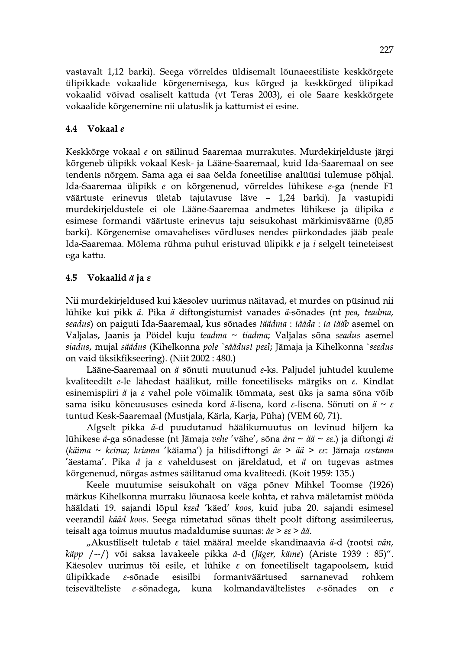vastavalt 1,12 barki). Seega võrreldes üldisemalt lõunaeestiliste keskkõrgete ülipikkade vokaalide kõrgenemisega, kus kõrged ja keskkõrged ülipikad vokaalid võivad osaliselt kattuda (vt Teras 2003), ei ole Saare keskkõrgete vokaalide kõrgenemine nii ulatuslik ja kattumist ei esine.

#### 4.4 Vokaal e

Keskkõrge vokaal e on säilinud Saaremaa murrakutes. Murdekirjelduste järgi kõrgeneb ülipikk vokaal Kesk- ja Lääne-Saaremaal, kuid Ida-Saaremaal on see tendents nõrgem. Sama aga ei saa öelda foneetilise analüüsi tulemuse põhjal. Ida-Saaremaa ülipikk e on kõrgenenud, võrreldes lühikese e-ga (nende F1 väärtuste erinevus ületab tajutavuse läve – 1,24 barki). Ja vastupidi murdekirjeldustele ei ole Lääne-Saaremaa andmetes lühikese ja ülipika e esimese formandi väärtuste erinevus taju seisukohast märkimisväärne (0,85 barki). Kõrgenemise omavahelises võrdluses nendes piirkondades jääb peale Ida-Saaremaa. Mõlema rühma puhul eristuvad ülipikk e ja i selgelt teineteisest ega kattu.

#### 4.5 Vokaalid  $\ddot{a}$  ja  $\varepsilon$

Nii murdekirjeldused kui käesolev uurimus näitavad, et murdes on püsinud nii lühike kui pikk ä. Pika ä diftongistumist vanades ä-sõnades (nt pea, teadma, seadus) on paiguti Ida-Saaremaal, kus sõnades täädma : tääda : ta tääb asemel on Valjalas, Jaanis ja Pöidel kuju teadma ~ tiadma; Valjalas sõna seadus asemel siadus, mujal säädus (Kihelkonna pole `säädust peel; Jämaja ja Kihelkonna `seedus on vaid üksikfikseering). (Niit 2002:480.)

Lääne-Saaremaal on ä sõnuti muutunud  $\varepsilon$ -ks. Paljudel juhtudel kuuleme kvaliteedilt e-le lähedast häälikut, mille foneetiliseks märgiks on  $\varepsilon$ . Kindlat esinemispiiri ä ja  $\varepsilon$  vahel pole võimalik tõmmata, sest üks ja sama sõna võib sama isiku kõneuususes esineda kord  $\ddot{a}$ -lisena, kord  $\varepsilon$ -lisena. Sõnuti on  $\ddot{a} \sim \varepsilon$ tuntud Kesk-Saaremaal (Mustjala, Kärla, Karja, Püha) (VEM 60, 71).

Algselt pikka ä-d puudutanud häälikumuutus on levinud hiljem ka lühikese ä-ga sõnadesse (nt Jämaja vehe 'vähe', sõna ära  $\sim$  ää  $\sim$   $\epsilon \epsilon$ .) ja diftongi äi (käima ~ keima; keiama 'käiama') ja hilisdiftongi äe > ää >  $\epsilon$ e: Jämaja eestama 'äestama'. Pika *ä* ja  $\varepsilon$  vaheldusest on järeldatud, et *ä* on tugevas astmes kõrgenenud, nõrgas astmes säilitanud oma kvaliteedi. (Koit 1959: 135.)

Keele muutumise seisukohalt on väga põnev Mihkel Toomse (1926) märkus Kihelkonna murraku lõunaosa keele kohta, et rahva mäletamist mööda hääldati 19. sajandi lõpul keed 'käed' koos, kuid juba 20. sajandi esimesel veerandil kääd koos. Seega nimetatud sõnas ühelt poolt diftong assimileerus, teisalt aga toimus muutus madaldumise suunas:  $\ddot{a}e > \varepsilon \varepsilon > \ddot{a}\ddot{a}$ .

"Akustiliselt tuletab  $\varepsilon$  täiel määral meelde skandinaavia ä-d (rootsi vän, käpp /--/) või saksa lavakeele pikka ä-d (Jäger, käme) (Ariste 1939 : 85)". Käesolev uurimus tõi esile, et lühike  $\varepsilon$  on foneetiliselt tagapoolsem, kuid ülipikkade  $\varepsilon$ -sõnade esisilbi formantväärtused sarnanevad rohkem teisevälteliste e-sõnadega, kuna kolmandavältelistes e-sõnades  $\alpha$  $\mathcal{C}_{\mathcal{C}}$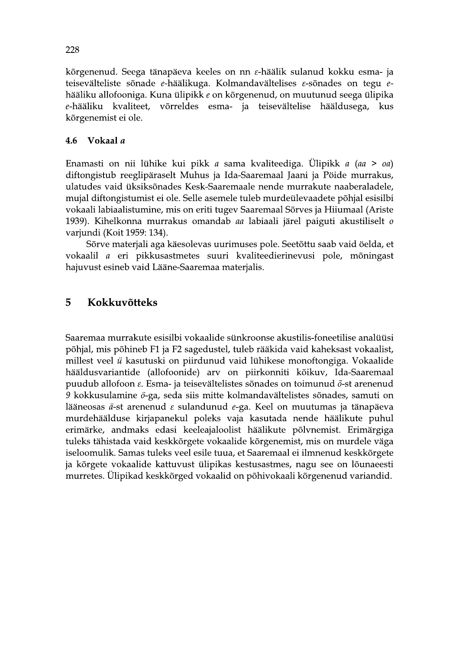kõrgenenud. Seega tänapäeva keeles on nn e-häälik sulanud kokku esma- ja teisevälteliste sõnade e-häälikuga. Kolmandavältelises  $\varepsilon$ -sõnades on tegu ehääliku allofooniga. Kuna ülipikk e on kõrgenenud, on muutunud seega ülipika võrreldes esma- ja teisevältelise hääldusega, e-hääliku kvaliteet, kus kõrgenemist ei ole.

#### Vokaal a 4.6

Enamasti on nii lühike kui pikk a sama kvaliteediga. Ülipikk a (aa > oa) diftongistub reeglipäraselt Muhus ja Ida-Saaremaal Jaani ja Pöide murrakus, ulatudes vaid üksiksõnades Kesk-Saaremaale nende murrakute naaberaladele, mujal diftongistumist ei ole. Selle asemele tuleb murdeülevaadete põhjal esisilbi vokaali labiaalistumine, mis on eriti tugev Saaremaal Sõrves ja Hiiumaal (Ariste 1939). Kihelkonna murrakus omandab aa labiaali järel paiguti akustiliselt o varjundi (Koit 1959: 134).

Sõrve materjali aga käesolevas uurimuses pole. Seetõttu saab vaid öelda, et vokaalil a eri pikkusastmetes suuri kvaliteedierinevusi pole, mõningast hajuvust esineb vaid Lääne-Saaremaa materjalis.

### 5 **Kokkuvõtteks**

Saaremaa murrakute esisilbi vokaalide sünkroonse akustilis-foneetilise analüüsi põhjal, mis põhineb F1 ja F2 sagedustel, tuleb rääkida vaid kaheksast vokaalist, millest veel ü kasutuski on piirdunud vaid lühikese monoftongiga. Vokaalide hääldusvariantide (allofoonide) arv on piirkonniti kõikuv, Ida-Saaremaal puudub allofoon  $\varepsilon$ . Esma- ja teisevältelistes sõnades on toimunud  $\tilde{o}$ -st arenenud 9 kokkusulamine ö-ga, seda siis mitte kolmandavältelistes sõnades, samuti on lääneosas ä-st arenenud  $\varepsilon$  sulandunud e-ga. Keel on muutumas ja tänapäeva murdehäälduse kirjapanekul poleks vaja kasutada nende häälikute puhul erimärke, andmaks edasi keeleajaloolist häälikute põlvnemist. Erimärgiga tuleks tähistada vaid keskkõrgete vokaalide kõrgenemist, mis on murdele väga iseloomulik. Samas tuleks veel esile tuua, et Saaremaal ei ilmnenud keskkõrgete ja kõrgete vokaalide kattuvust ülipikas kestusastmes, nagu see on lõunaeesti murretes. Ülipikad keskkõrged vokaalid on põhivokaali kõrgenenud variandid.